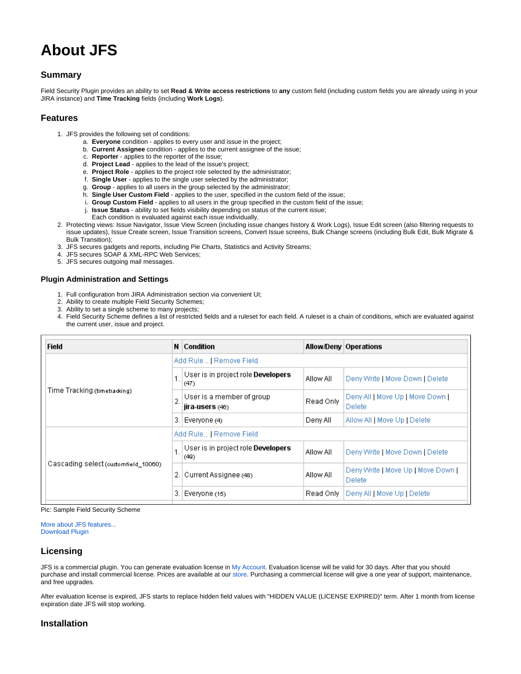# **About JFS**

## **Summary**

Field Security Plugin provides an ability to set **Read & Write access restrictions** to **any** custom field (including custom fields you are already using in your JIRA instance) and **Time Tracking** fields (including **Work Logs**).

## **Features**

- 1. JFS provides the following set of conditions:
	- a. **Everyone** condition applies to every user and issue in the project;
	- b. **Current Assignee** condition applies to the current assignee of the issue;
	- c. **Reporter** applies to the reporter of the issue;
	- d. **Project Lead** applies to the lead of the issue's project;
	- e. **Project Role** applies to the project role selected by the administrator;
	- f. **Single User** applies to the single user selected by the administrator;
	- g. **Group** applies to all users in the group selected by the administrator;
	- h. **Single User Custom Field** applies to the user, specified in the custom field of the issue;
	- i. **Group Custom Field** applies to all users in the group specified in the custom field of the issue;
	- j. **Issue Status** ability to set fields visibility depending on status of the current issue;
	- Each condition is evaluated against each issue individually.
- 2. Protecting views: Issue Navigator, Issue View Screen (including issue changes history & Work Logs), Issue Edit screen (also filtering requests to issue updates), Issue Create screen, Issue Transition screens, Convert Issue screens, Bulk Change screens (including Bulk Edit, Bulk Migrate & Bulk Transition);
- 3. JFS secures gadgets and reports, including Pie Charts, Statistics and Activity Streams;
- 4. JFS secures SOAP & XML-RPC Web Services;
- 5. JFS secures outgoing mail messages.

### **Plugin Administration and Settings**

- 1. Full configuration from JIRA Administration section via convenient UI;
- 2. Ability to create multiple Field Security Schemes;
- 3. Ability to set a single scheme to many projects;
- 4. Field Security Scheme defines a list of restricted fields and a ruleset for each field. A ruleset is a chain of conditions, which are evaluated against the current user, issue and project.

| Field                                | N                       | Condition                                         |           | Allow/Deny Operations                        |
|--------------------------------------|-------------------------|---------------------------------------------------|-----------|----------------------------------------------|
| Time Tracking (timetracking)         | Add Rule   Remove Field |                                                   |           |                                              |
|                                      |                         | User is in project role Developers<br>(47)        | Allow All | Deny Write   Move Down   Delete              |
|                                      |                         | User is a member of group<br>jira-users (46)      | Read Only | Deny All   Move Up   Move Down  <br>Delete   |
|                                      | 3.                      | Everyone (4)                                      | Deny All  | Allow All   Move Up   Delete                 |
| Cascading select (customfield_10060) | Add Rule   Remove Field |                                                   |           |                                              |
|                                      | 1.                      | User is in project role <b>Developers</b><br>(49) | Allow All | Deny Write   Move Down   Delete              |
|                                      | 2.1                     | Current Assignee (48)                             | Allow All | Deny Write   Move Up   Move Down  <br>Delete |
|                                      | З.                      | Everyone (15)                                     | Read Only | Deny All   Move Up   Delete                  |

#### Pic: Sample Field Security Scheme

#### [More about JFS features...](https://quisapps.com/confluence/display/JFS/JFS+Features+Explained) [Download Plugin](http://www.quisapps.com/download)

## **Licensing**

JFS is a commercial plugin. You can generate evaluation license in [My Account.](http://www.quisapps.com/user) Evaluation license will be valid for 30 days. After that you should purchase and install commercial license. Prices are available at our [store](http://www.quisapps.com/buy). Purchasing a commercial license will give a one year of support, maintenance, and free upgrades.

After evaluation license is expired, JFS starts to replace hidden field values with "HIDDEN VALUE (LICENSE EXPIRED)" term. After 1 month from license expiration date JFS will stop working.

## **Installation**